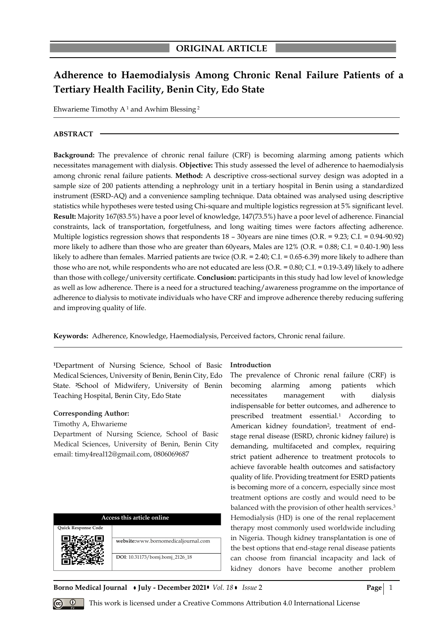# **Adherence to Haemodialysis Among Chronic Renal Failure Patients of a Tertiary Health Facility, Benin City, Edo State**

Ehwarieme Timothy  $A<sup>1</sup>$  and Awhim Blessing<sup>2</sup>

### **ABSTRACT**

**Background:** The prevalence of chronic renal failure (CRF) is becoming alarming among patients which necessitates management with dialysis. **Objective:** This study assessed the level of adherence to haemodialysis among chronic renal failure patients*.* **Method:** A descriptive cross-sectional survey design was adopted in a sample size of 200 patients attending a nephrology unit in a tertiary hospital in Benin using a standardized instrument (ESRD-AQ) and a convenience sampling technique. Data obtained was analysed using descriptive statistics while hypotheses were tested using Chi-square and multiple logistics regression at 5% significant level*.*  **Result:** Majority 167(83.5%) have a poor level of knowledge, 147(73.5%) have a poor level of adherence. Financial constraints, lack of transportation, forgetfulness, and long waiting times were factors affecting adherence. Multiple logistics regression shows that respondents 18 – 30years are nine times (O.R. = 9.23; C.I. = 0.94-90.92) more likely to adhere than those who are greater than 60 years, Males are  $12\%$  (O.R. = 0.88; C.I. = 0.40-1.90) less likely to adhere than females. Married patients are twice (O.R. = 2.40; C.I. = 0.65-6.39) more likely to adhere than those who are not, while respondents who are not educated are less  $(O.R. = 0.80; C.I. = 0.19-3.49)$  likely to adhere than those with college/university certificate. **Conclusion:** participants in this study had low level of knowledge as well as low adherence. There is a need for a structured teaching/awareness programme on the importance of adherence to dialysis to motivate individuals who have CRF and improve adherence thereby reducing suffering and improving quality of life.

**Keywords:** Adherence, Knowledge, Haemodialysis, Perceived factors, Chronic renal failure.

**<sup>1</sup>**Department of Nursing Science, School of Basic Medical Sciences, University of Benin, Benin City, Edo State. **2**School of Midwifery, University of Benin Teaching Hospital, Benin City, Edo State

#### **Corresponding Author:**

#### Timothy A, Ehwarieme

Department of Nursing Science, School of Basic Medical Sciences, University of Benin, Benin City email: timy4real12@gmail.com, 0806069687

| Access this article online |                                     |  |  |
|----------------------------|-------------------------------------|--|--|
| <b>Ouick Response Code</b> |                                     |  |  |
|                            | website:www.bornomedicaljournal.com |  |  |
|                            | DOI: 10.31173/bomj.bomj_2126_18     |  |  |

#### **Introduction**

The prevalence of Chronic renal failure (CRF) is becoming alarming among patients which necessitates management with dialysis indispensable for better outcomes, and adherence to prescribed treatment essential.<sup>1</sup> According to American kidney foundation<sup>2</sup>, treatment of endstage renal disease (ESRD, chronic kidney failure) is demanding, multifaceted and complex, requiring strict patient adherence to treatment protocols to achieve favorable health outcomes and satisfactory quality of life. Providing treatment for ESRD patients is becoming more of a concern, especially since most treatment options are costly and would need to be balanced with the provision of other health services.<sup>3</sup> Hemodialysis (HD) is one of the renal replacement therapy most commonly used worldwide including in Nigeria. Though kidney transplantation is one of the best options that end-stage renal disease patients can choose from financial incapacity and lack of kidney donors have become another problem

**Borno Medical Journal • July - December 2021 •** *Vol.* 18 • *Issue* 2 **Page** | 1

*Q* This work is licensed under a Creative Commons Attribution 4.0 International License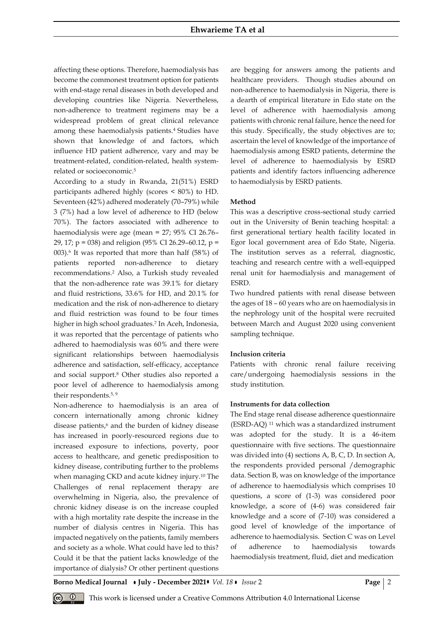affecting these options. Therefore, haemodialysis has become the commonest treatment option for patients with end-stage renal diseases in both developed and developing countries like Nigeria. Nevertheless, non-adherence to treatment regimens may be a widespread problem of great clinical relevance among these haemodialysis patients.<sup>4</sup> Studies have shown that knowledge of and factors, which influence HD patient adherence, vary and may be treatment-related, condition-related, health systemrelated or socioeconomic.<sup>5</sup>

According to a study in Rwanda, 21(51%) ESRD participants adhered highly (scores < 80%) to HD. Seventeen (42%) adhered moderately (70–79%) while 3 (7%) had a low level of adherence to HD (below 70%). The factors associated with adherence to haemodialysis were age (mean = 27; 95% CI 26.76– 29, 17; p = 038) and religion (95% CI 26.29–60.12, p = 003).<sup>6</sup> It was reported that more than half (58%) of patients reported non-adherence to dietary recommendations.<sup>2</sup> Also, a Turkish study revealed that the non-adherence rate was 39.1% for dietary and fluid restrictions, 33.6% for HD, and 20.1% for medication and the risk of non-adherence to dietary and fluid restriction was found to be four times higher in high school graduates.<sup>7</sup> In Aceh, Indonesia, it was reported that the percentage of patients who adhered to haemodialysis was 60% and there were significant relationships between haemodialysis adherence and satisfaction, self-efficacy, acceptance and social support.<sup>8</sup> Other studies also reported a poor level of adherence to haemodialysis among their respondents.<sup>5, 9</sup>

Non-adherence to haemodialysis is an area of concern internationally among chronic kidney disease patients,<sup>6</sup> and the burden of kidney disease has increased in poorly-resourced regions due to increased exposure to infections, poverty, poor access to healthcare, and genetic predisposition to kidney disease, contributing further to the problems when managing CKD and acute kidney injury.<sup>10</sup> The Challenges of renal replacement therapy are overwhelming in Nigeria, also, the prevalence of chronic kidney disease is on the increase coupled with a high mortality rate despite the increase in the number of dialysis centres in Nigeria. This has impacted negatively on the patients, family members and society as a whole. What could have led to this? Could it be that the patient lacks knowledge of the importance of dialysis? Or other pertinent questions are begging for answers among the patients and healthcare providers. Though studies abound on non-adherence to haemodialysis in Nigeria, there is a dearth of empirical literature in Edo state on the level of adherence with haemodialysis among patients with chronic renal failure, hence the need for this study. Specifically, the study objectives are to; ascertain the level of knowledge of the importance of haemodialysis among ESRD patients, determine the level of adherence to haemodialysis by ESRD patients and identify factors influencing adherence to haemodialysis by ESRD patients.

## **Method**

This was a descriptive cross-sectional study carried out in the University of Benin teaching hospital: a first generational tertiary health facility located in Egor local government area of Edo State, Nigeria. The institution serves as a referral, diagnostic, teaching and research centre with a well-equipped renal unit for haemodialysis and management of ESRD.

Two hundred patients with renal disease between the ages of 18 – 60 years who are on haemodialysis in the nephrology unit of the hospital were recruited between March and August 2020 using convenient sampling technique.

#### **Inclusion criteria**

Patients with chronic renal failure receiving care/undergoing haemodialysis sessions in the study institution.

#### **Instruments for data collection**

The End stage renal disease adherence questionnaire (ESRD-AQ) <sup>11</sup> which was a standardized instrument was adopted for the study. It is a 46-item questionnaire with five sections. The questionnaire was divided into (4) sections A, B, C, D. In section A, the respondents provided personal /demographic data. Section B, was on knowledge of the importance of adherence to haemodialysis which comprises 10 questions, a score of (1-3) was considered poor knowledge, a score of (4-6) was considered fair knowledge and a score of (7-10) was considered a good level of knowledge of the importance of adherence to haemodialysis. Section C was on Level of adherence to haemodialysis towards haemodialysis treatment, fluid, diet and medication

**Borno Medical Journal • July - December 2021 •** *Vol. 18* **•** *Issue* **2 <b>Page** 2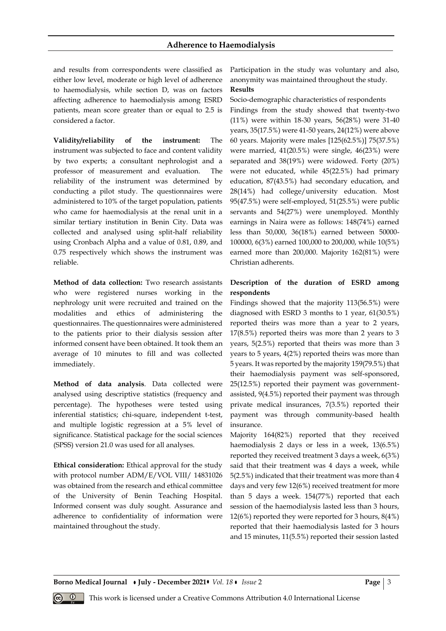## **Adherence to Haemodialysis**

and results from correspondents were classified as either low level, moderate or high level of adherence to haemodialysis, while section D, was on factors affecting adherence to haemodialysis among ESRD patients, mean score greater than or equal to 2.5 is considered a factor.

**Validity/reliability of the instrument:** The instrument was subjected to face and content validity by two experts; a consultant nephrologist and a professor of measurement and evaluation. The reliability of the instrument was determined by conducting a pilot study. The questionnaires were administered to 10% of the target population, patients who came for haemodialysis at the renal unit in a similar tertiary institution in Benin City. Data was collected and analysed using split-half reliability using Cronbach Alpha and a value of 0.81, 0.89, and 0.75 respectively which shows the instrument was reliable.

**Method of data collection:** Two research assistants who were registered nurses working in the nephrology unit were recruited and trained on the modalities and ethics of administering the questionnaires. The questionnaires were administered to the patients prior to their dialysis session after informed consent have been obtained. It took them an average of 10 minutes to fill and was collected immediately.

**Method of data analysis**. Data collected were analysed using descriptive statistics (frequency and percentage). The hypotheses were tested using inferential statistics; chi-square, independent t-test, and multiple logistic regression at a 5% level of significance. Statistical package for the social sciences (SPSS) version 21.0 was used for all analyses.

**Ethical consideration:** Ethical approval for the study with protocol number ADM/E/VOL VIII/ 14831026 was obtained from the research and ethical committee of the University of Benin Teaching Hospital. Informed consent was duly sought. Assurance and adherence to confidentiality of information were maintained throughout the study.

Participation in the study was voluntary and also, anonymity was maintained throughout the study.

## **Results**

Socio-demographic characteristics of respondents Findings from the study showed that twenty-two (11%) were within 18-30 years, 56(28%) were 31-40 years, 35(17.5%) were 41-50 years, 24(12%) were above 60 years. Majority were males [125(62.5%)] 75(37.5%) were married, 41(20.5%) were single, 46(23%) were separated and 38(19%) were widowed. Forty (20%) were not educated, while 45(22.5%) had primary education, 87(43.5%) had secondary education, and 28(14%) had college/university education. Most 95(47.5%) were self-employed, 51(25.5%) were public servants and 54(27%) were unemployed. Monthly earnings in Naira were as follows: 148(74%) earned less than 50,000, 36(18%) earned between 50000- 100000, 6(3%) earned 100,000 to 200,000, while 10(5%) earned more than 200,000. Majority 162(81%) were Christian adherents.

# **Description of the duration of ESRD among respondents**

Findings showed that the majority 113(56.5%) were diagnosed with ESRD 3 months to 1 year, 61(30.5%) reported theirs was more than a year to 2 years, 17(8.5%) reported theirs was more than 2 years to 3 years, 5(2.5%) reported that theirs was more than 3 years to 5 years, 4(2%) reported theirs was more than 5 years. It was reported by the majority 159(79.5%) that their haemodialysis payment was self-sponsored, 25(12.5%) reported their payment was governmentassisted, 9(4.5%) reported their payment was through private medical insurances, 7(3.5%) reported their payment was through community-based health insurance.

Majority 164(82%) reported that they received haemodialysis 2 days or less in a week, 13(6.5%) reported they received treatment 3 days a week, 6(3%) said that their treatment was 4 days a week, while 5(2.5%) indicated that their treatment was more than 4 days and very few 12(6%) received treatment for more than 5 days a week. 154(77%) reported that each session of the haemodialysis lasted less than 3 hours, 12(6%) reported they were reported for 3 hours, 8(4%) reported that their haemodialysis lasted for 3 hours and 15 minutes, 11(5.5%) reported their session lasted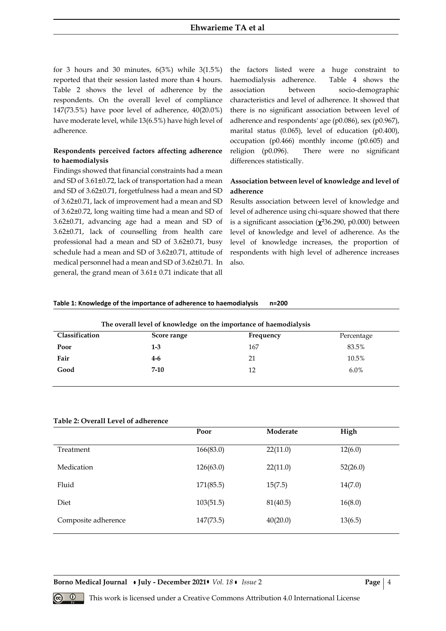for 3 hours and 30 minutes,  $6(3%)$  while  $3(1.5%)$ reported that their session lasted more than 4 hours. Table 2 shows the level of adherence by the respondents. On the overall level of compliance 147(73.5%) have poor level of adherence, 40(20.0%) have moderate level, while 13(6.5%) have high level of adherence.

# **Respondents perceived factors affecting adherence to haemodialysis**

Findings showed that financial constraints had a mean and SD of 3.61±0.72, lack of transportation had a mean and SD of 3.62±0.71, forgetfulness had a mean and SD of 3.62±0.71, lack of improvement had a mean and SD of 3.62±0.72, long waiting time had a mean and SD of 3.62±0.71, advancing age had a mean and SD of 3.62±0.71, lack of counselling from health care professional had a mean and SD of 3.62±0.71, busy schedule had a mean and SD of 3.62±0.71, attitude of medical personnel had a mean and SD of 3.62±0.71. In general, the grand mean of 3.61± 0.71 indicate that all

the factors listed were a huge constraint to haemodialysis adherence. Table 4 shows the association between socio-demographic characteristics and level of adherence. It showed that there is no significant association between level of adherence and respondents' age (p0.086), sex (p0.967), marital status (0.065), level of education (p0.400), occupation (p0.466) monthly income (p0.605) and religion (p0.096). There were no significant differences statistically.

# **Association between level of knowledge and level of adherence**

Results association between level of knowledge and level of adherence using chi-square showed that there is a significant association (**2**36.290, p0.000) between level of knowledge and level of adherence. As the level of knowledge increases, the proportion of respondents with high level of adherence increases also.

#### **Table 1: Knowledge of the importance of adherence to haemodialysis n=200**

| The overall level of knowledge on the importance of haemodialysis |             |           |            |
|-------------------------------------------------------------------|-------------|-----------|------------|
| Classification                                                    | Score range | Frequency | Percentage |
| Poor                                                              | $1 - 3$     | 167       | 83.5%      |
| Fair                                                              | $4-6$       | 21        | 10.5%      |
| Good                                                              | $7-10$      | 12        | $6.0\%$    |
|                                                                   |             |           |            |

## **Table 2: Overall Level of adherence**

|                     | Poor      | Moderate | High     |
|---------------------|-----------|----------|----------|
| Treatment           | 166(83.0) | 22(11.0) | 12(6.0)  |
| Medication          | 126(63.0) | 22(11.0) | 52(26.0) |
| Fluid               | 171(85.5) | 15(7.5)  | 14(7.0)  |
| Diet                | 103(51.5) | 81(40.5) | 16(8.0)  |
| Composite adherence | 147(73.5) | 40(20.0) | 13(6.5)  |

**Borno Medical Journal • July - December 2021 •** *Vol.* 18 • *Issue* 2 **Page**  $\begin{bmatrix} 4 \end{bmatrix}$ 

**<sup><b>0**</sup> This work is licensed under a Creative Commons Attribution 4.0 International License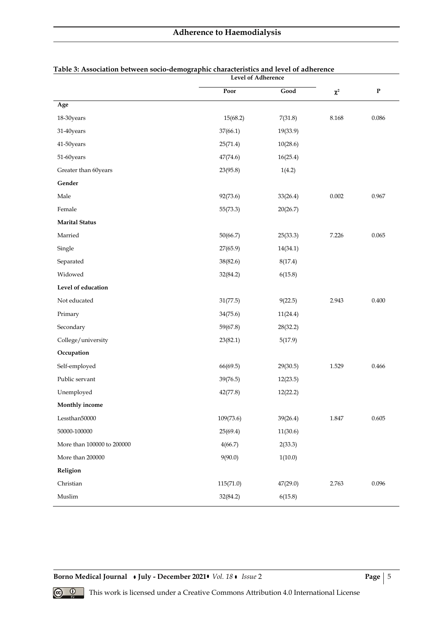|                            | <b>Level of Adherence</b> |          |                |             |
|----------------------------|---------------------------|----------|----------------|-------------|
|                            | Poor                      | Good     | $\pmb{\chi}^2$ | $\mathbf P$ |
| Age                        |                           |          |                |             |
| 18-30years                 | 15(68.2)                  | 7(31.8)  | 8.168          | 0.086       |
| 31-40years                 | 37(66.1)                  | 19(33.9) |                |             |
| 41-50years                 | 25(71.4)                  | 10(28.6) |                |             |
| 51-60years                 | 47(74.6)                  | 16(25.4) |                |             |
| Greater than 60years       | 23(95.8)                  | 1(4.2)   |                |             |
| Gender                     |                           |          |                |             |
| Male                       | 92(73.6)                  | 33(26.4) | 0.002          | 0.967       |
| Female                     | 55(73.3)                  | 20(26.7) |                |             |
| <b>Marital Status</b>      |                           |          |                |             |
| Married                    | 50(66.7)                  | 25(33.3) | 7.226          | 0.065       |
| Single                     | 27(65.9)                  | 14(34.1) |                |             |
| Separated                  | 38(82.6)                  | 8(17.4)  |                |             |
| Widowed                    | 32(84.2)                  | 6(15.8)  |                |             |
| Level of education         |                           |          |                |             |
| Not educated               | 31(77.5)                  | 9(22.5)  | 2.943          | 0.400       |
| Primary                    | 34(75.6)                  | 11(24.4) |                |             |
| Secondary                  | 59(67.8)                  | 28(32.2) |                |             |
| College/university         | 23(82.1)                  | 5(17.9)  |                |             |
| Occupation                 |                           |          |                |             |
| Self-employed              | 66(69.5)                  | 29(30.5) | 1.529          | 0.466       |
| Public servant             | 39(76.5)                  | 12(23.5) |                |             |
| Unemployed                 | 42(77.8)                  | 12(22.2) |                |             |
| Monthly income             |                           |          |                |             |
| Lessthan50000              | 109(73.6)                 | 39(26.4) | 1.847          | 0.605       |
| 50000-100000               | 25(69.4)                  | 11(30.6) |                |             |
| More than 100000 to 200000 | 4(66.7)                   | 2(33.3)  |                |             |
| More than 200000           | 9(90.0)                   | 1(10.0)  |                |             |
| Religion                   |                           |          |                |             |
| Christian                  | 115(71.0)                 | 47(29.0) | 2.763          | 0.096       |
| Muslim                     | 32(84.2)                  | 6(15.8)  |                |             |

# **Table 3: Association between socio-demographic characteristics and level of adherence**

**Borno Medical Journal • July - December 2021 •** *Vol. 18* **•** *Issue* **2 <b>Page** | 5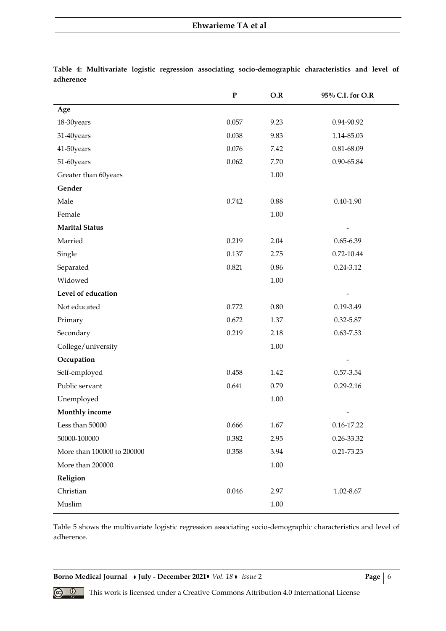|                            | $\overline{P}$ | O.R      | 95% C.I. for O.R |
|----------------------------|----------------|----------|------------------|
| Age                        |                |          |                  |
| 18-30years                 | 0.057          | 9.23     | 0.94-90.92       |
| 31-40years                 | 0.038          | 9.83     | 1.14-85.03       |
| 41-50years                 | 0.076          | 7.42     | 0.81-68.09       |
| 51-60years                 | 0.062          | 7.70     | 0.90-65.84       |
| Greater than 60years       |                | $1.00\,$ |                  |
| Gender                     |                |          |                  |
| Male                       | 0.742          | 0.88     | $0.40 - 1.90$    |
| Female                     |                | $1.00\,$ |                  |
| <b>Marital Status</b>      |                |          |                  |
| Married                    | 0.219          | 2.04     | $0.65 - 6.39$    |
| Single                     | 0.137          | 2.75     | 0.72-10.44       |
| Separated                  | 0.821          | 0.86     | $0.24 - 3.12$    |
| Widowed                    |                | $1.00\,$ |                  |
| Level of education         |                |          |                  |
| Not educated               | 0.772          | $0.80\,$ | 0.19-3.49        |
| Primary                    | 0.672          | 1.37     | 0.32-5.87        |
| Secondary                  | 0.219          | 2.18     | $0.63 - 7.53$    |
| College/university         |                | $1.00\,$ |                  |
| Occupation                 |                |          |                  |
| Self-employed              | 0.458          | 1.42     | 0.57-3.54        |
| Public servant             | 0.641          | 0.79     | $0.29 - 2.16$    |
| Unemployed                 |                | 1.00     |                  |
| Monthly income             |                |          |                  |
| Less than 50000            | 0.666          | 1.67     | 0.16-17.22       |
| 50000-100000               | 0.382          | 2.95     | 0.26-33.32       |
| More than 100000 to 200000 | 0.358          | 3.94     | 0.21-73.23       |
| More than 200000           |                | $1.00\,$ |                  |
| Religion                   |                |          |                  |
| Christian                  | 0.046          | 2.97     | 1.02-8.67        |
| Muslim                     |                | 1.00     |                  |

**Table 4: Multivariate logistic regression associating socio-demographic characteristics and level of adherence**

Table 5 shows the multivariate logistic regression associating socio-demographic characteristics and level of adherence.

**Borno Medical Journal • July - December 2021 •** *Vol. 18* **•** *Issue* **2 <b>Page** | 6

**<sup><b> • • •** • This work is licensed under a Creative Commons Attribution 4.0 International License</sup>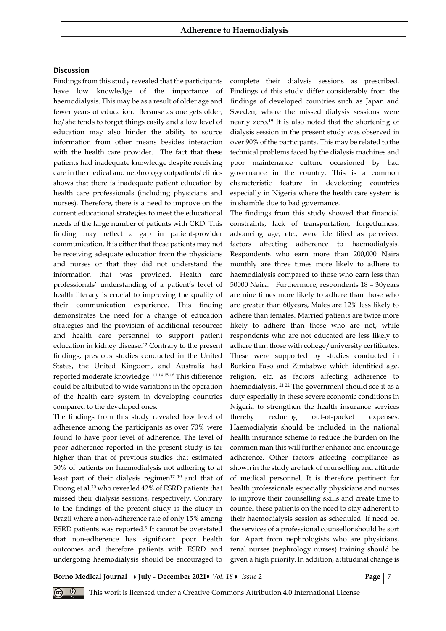### **Discussion**

Findings from this study revealed that the participants have low knowledge of the importance of haemodialysis. This may be as a result of older age and fewer years of education. Because as one gets older, he/she tends to forget things easily and a low level of education may also hinder the ability to source information from other means besides interaction with the health care provider. The fact that these patients had inadequate knowledge despite receiving care in the medical and nephrology outpatients' clinics shows that there is inadequate patient education by health care professionals (including physicians and nurses). Therefore, there is a need to improve on the current educational strategies to meet the educational needs of the large number of patients with CKD. This finding may reflect a gap in patient-provider communication. It is either that these patients may not be receiving adequate education from the physicians and nurses or that they did not understand the information that was provided. Health care professionals' understanding of a patient's level of health literacy is crucial to improving the quality of their communication experience. This finding demonstrates the need for a change of education strategies and the provision of additional resources and health care personnel to support patient education in kidney disease.<sup>12</sup> Contrary to the present findings, previous studies conducted in the United States, the United Kingdom, and Australia had reported moderate knowledge. 13 14 15 16 This difference could be attributed to wide variations in the operation of the health care system in developing countries compared to the developed ones.

The findings from this study revealed low level of adherence among the participants as over 70% were found to have poor level of adherence. The level of poor adherence reported in the present study is far higher than that of previous studies that estimated 50% of patients on haemodialysis not adhering to at least part of their dialysis regimen<sup>17</sup> <sup>19</sup> and that of Duong et al.<sup>20</sup> who revealed 42% of ESRD patients that missed their dialysis sessions, respectively. Contrary to the findings of the present study is the study in Brazil where a non-adherence rate of only 15% among ESRD patients was reported.<sup>9</sup> It cannot be overstated that non-adherence has significant poor health outcomes and therefore patients with ESRD and undergoing haemodialysis should be encouraged to

complete their dialysis sessions as prescribed. Findings of this study differ considerably from the findings of developed countries such as Japan and Sweden, where the missed dialysis sessions were nearly zero.<sup>19</sup> It is also noted that the shortening of dialysis session in the present study was observed in over 90% of the participants. This may be related to the technical problems faced by the dialysis machines and poor maintenance culture occasioned by bad governance in the country. This is a common characteristic feature in developing countries especially in Nigeria where the health care system is in shamble due to bad governance.

The findings from this study showed that financial constraints, lack of transportation, forgetfulness, advancing age, etc., were identified as perceived factors affecting adherence to haemodialysis. Respondents who earn more than 200,000 Naira monthly are three times more likely to adhere to haemodialysis compared to those who earn less than 50000 Naira. Furthermore, respondents 18 – 30years are nine times more likely to adhere than those who are greater than 60years, Males are 12% less likely to adhere than females. Married patients are twice more likely to adhere than those who are not, while respondents who are not educated are less likely to adhere than those with college/university certificates. These were supported by studies conducted in Burkina Faso and Zimbabwe which identified age, religion, etc. as factors affecting adherence to haemodialysis. <sup>21 22</sup> The government should see it as a duty especially in these severe economic conditions in Nigeria to strengthen the health insurance services thereby reducing out-of-pocket expenses. Haemodialysis should be included in the national health insurance scheme to reduce the burden on the common man this will further enhance and encourage adherence. Other factors affecting compliance as shown in the study are lack of counselling and attitude of medical personnel. It is therefore pertinent for health professionals especially physicians and nurses to improve their counselling skills and create time to counsel these patients on the need to stay adherent to their haemodialysis session as scheduled. If need be, the services of a professional counsellor should be sort for. Apart from nephrologists who are physicians, renal nurses (nephrology nurses) training should be given a high priority. In addition, attitudinal change is

**Borno Medical Journal July - December 2021** *Vol. 18 Issue* 2 **Page** 7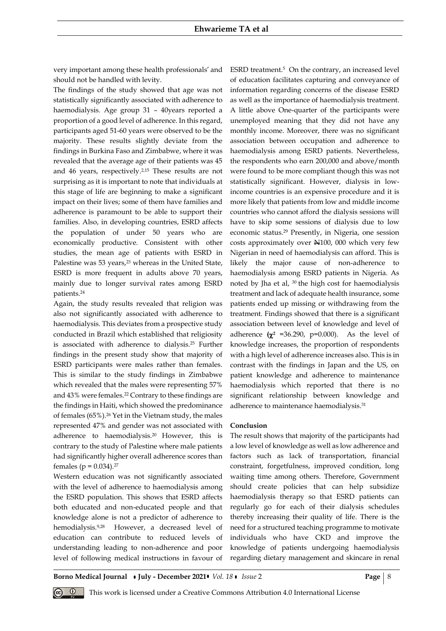very important among these health professionals' and should not be handled with levity.

The findings of the study showed that age was not statistically significantly associated with adherence to haemodialysis. Age group 31 – 40years reported a proportion of a good level of adherence. In this regard, participants aged 51-60 years were observed to be the majority. These results slightly deviate from the findings in Burkina Faso and Zimbabwe, where it was revealed that the average age of their patients was 45 and 46 years, respectively. 2,15 These results are not surprising as it is important to note that individuals at this stage of life are beginning to make a significant impact on their lives; some of them have families and adherence is paramount to be able to support their families. Also, in developing countries, ESRD affects the population of under 50 years who are economically productive. Consistent with other studies, the mean age of patients with ESRD in Palestine was 53 years,<sup>23</sup> whereas in the United State, ESRD is more frequent in adults above 70 years, mainly due to longer survival rates among ESRD patients.<sup>24</sup>

Again, the study results revealed that religion was also not significantly associated with adherence to haemodialysis. This deviates from a prospective study conducted in Brazil which established that religiosity is associated with adherence to dialysis.<sup>25</sup> Further findings in the present study show that majority of ESRD participants were males rather than females. This is similar to the study findings in Zimbabwe which revealed that the males were representing 57% and 43% were females.<sup>22</sup> Contrary to these findings are the findings in Haiti, which showed the predominance of females (65%).<sup>26</sup> Yet in the Vietnam study, the males represented 47% and gender was not associated with adherence to haemodialysis.20 However, this is contrary to the study of Palestine where male patients had significantly higher overall adherence scores than females ( $p = 0.034$ ).<sup>27</sup>

Western education was not significantly associated with the level of adherence to haemodialysis among the ESRD population. This shows that ESRD affects both educated and non-educated people and that knowledge alone is not a predictor of adherence to hemodialysis.9,28 However, a decreased level of education can contribute to reduced levels of understanding leading to non-adherence and poor level of following medical instructions in favour of

ESRD treatment.<sup>5</sup> On the contrary, an increased level of education facilitates capturing and conveyance of information regarding concerns of the disease ESRD as well as the importance of haemodialysis treatment. A little above One-quarter of the participants were unemployed meaning that they did not have any monthly income. Moreover, there was no significant association between occupation and adherence to haemodialysis among ESRD patients. Nevertheless, the respondents who earn 200,000 and above/month were found to be more compliant though this was not statistically significant. However, dialysis in lowincome countries is an expensive procedure and it is more likely that patients from low and middle income countries who cannot afford the dialysis sessions will have to skip some sessions of dialysis due to low economic status.<sup>29</sup> Presently, in Nigeria, one session costs approximately over N100, 000 which very few Nigerian in need of haemodialysis can afford. This is likely the major cause of non-adherence to haemodialysis among ESRD patients in Nigeria. As noted by Jha et al, 30 the high cost for haemodialysis treatment and lack of adequate health insurance, some patients ended up missing or withdrawing from the treatment. Findings showed that there is a significant association between level of knowledge and level of adherence  $(\chi^2$  =36.290, p=0.000). As the level of knowledge increases, the proportion of respondents with a high level of adherence increases also. This is in contrast with the findings in Japan and the US, on patient knowledge and adherence to maintenance haemodialysis which reported that there is no significant relationship between knowledge and adherence to maintenance haemodialysis.<sup>31</sup>

#### **Conclusion**

The result shows that majority of the participants had a low level of knowledge as well as low adherence and factors such as lack of transportation, financial constraint, forgetfulness, improved condition, long waiting time among others. Therefore, Government should create policies that can help subsidize haemodialysis therapy so that ESRD patients can regularly go for each of their dialysis schedules thereby increasing their quality of life. There is the need for a structured teaching programme to motivate individuals who have CKD and improve the knowledge of patients undergoing haemodialysis regarding dietary management and skincare in renal

**Borno Medical Journal • July - December 2021 •** *Vol. 18* **•** *Issue* **2 <b>Page** | 8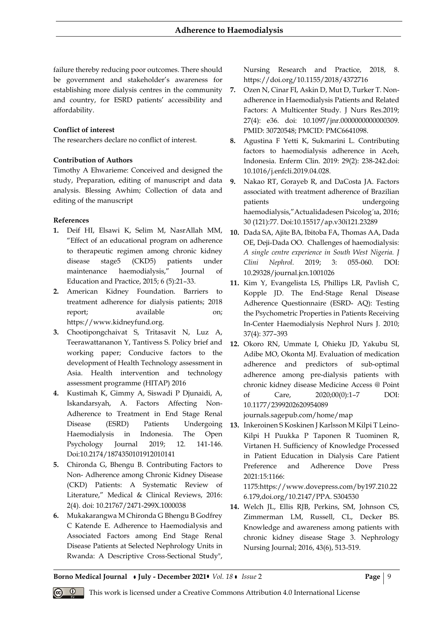failure thereby reducing poor outcomes. There should be government and stakeholder's awareness for establishing more dialysis centres in the community and country, for ESRD patients' accessibility and affordability.

# **Conflict of interest**

The researchers declare no conflict of interest.

## **Contribution of Authors**

Timothy A Ehwarieme: Conceived and designed the study, Preparation, editing of manuscript and data analysis. Blessing Awhim; Collection of data and editing of the manuscript

## **References**

- **1.** Deif HI, Elsawi K, Selim M, NasrAllah MM, "Effect of an educational program on adherence to therapeutic regimen among chronic kidney disease stage5 (CKD5) patients under maintenance haemodialysis," Journal of Education and Practice, 2015; 6 (5):21–33.
- **2.** American Kidney Foundation. Barriers to treatment adherence for dialysis patients; 2018 report; available on; https://www.kidneyfund.org.
- **3.** Chootipongchaivat S, Tritasavit N, Luz A, Teerawattananon Y, Tantivess S. Policy brief and working paper; Conducive factors to the development of Health Technology assessment in Asia. Health intervention and technology assessment programme (HITAP) 2016
- **4.** Kustimah K, Gimmy A, Siswadi P Djunaidi, A, Iskandarsyah, A. Factors Affecting Non-Adherence to Treatment in End Stage Renal Haemodialysis in Indonesia. The Open Psychology Journal 2019; 12. 141-146. Doi:10.2174/1874350101912010141
- **5.** Chironda G, Bhengu B. Contributing Factors to Non- Adherence among Chronic Kidney Disease (CKD) Patients: A Systematic Review of Literature," Medical & Clinical Reviews, 2016: 2(4). doi: 10.21767/2471-299X.1000038
- **6.** Mukakarangwa M Chironda G Bhengu B Godfrey C Katende E. Adherence to Haemodialysis and Associated Factors among End Stage Renal Disease Patients at Selected Nephrology Units in Rwanda: A Descriptive Cross-Sectional Study",

Nursing Research and Practice, 2018, 8. https://doi.org/10.1155/2018/4372716

- **7.** Ozen N, Cinar FI, Askin D, Mut D, Turker T. Nonadherence in Haemodialysis Patients and Related Factors: A Multicenter Study. J Nurs Res.2019; 27(4): e36. doi: 10.1097/jnr.0000000000000309. PMID: 30720548; PMCID: PMC6641098.
- **8.** Agustina F Yetti K, Sukmarini L. Contributing factors to haemodialysis adherence in Aceh, Indonesia. Enferm Clin. 2019: 29(2): 238-242.doi: 10.1016/j.enfcli.2019.04.028.
- **9.** Nakao RT, Gorayeb R, and DaCosta JA. Factors associated with treatment adherence of Brazilian patients undergoing haemodialysis,"Actualidadesen Psicolog´ıa, 2016; 30 (121):77. Doi:10.15517/ap.v30i121.23289
- **10.** Dada SA, Ajite BA, Ibitoba FA, Thomas AA, Dada OE, Deji-Dada OO. Challenges of haemodialysis: *A single centre experience in South West Nigeria. J Clini Nephrol.* 2019; 3: 055-060. DOI: 10.29328/journal.jcn.1001026
- **11.** Kim Y, Evangelista LS, Phillips LR, Pavlish C, Kopple JD. The End-Stage Renal Disease Adherence Questionnaire (ESRD- AQ): Testing the Psychometric Properties in Patients Receiving In-Center Haemodialysis Nephrol Nurs J. 2010; 37(4): 377–393
- **12.** Okoro RN, Ummate I, Ohieku JD, Yakubu SI, Adibe MO, Okonta MJ. Evaluation of medication adherence and predictors of sub-optimal adherence among pre-dialysis patients with chronic kidney disease Medicine Access @ Point of Care, 2020;00(0):1–7 DOI: 10.1177/2399202620954089

journals.sagepub.com/home/map

Disease (ESRD) Patients Undergoing **13.** Inkeroinen S Koskinen J Karlsson M Kilpi T Leino-Kilpi H Puukka P Taponen R Tuominen R, Virtanen H. Sufficiency of Knowledge Processed in Patient Education in Dialysis Care Patient Preference and Adherence Dove Press 2021:15:1166:

1175:https://www.dovepress.com/by197.210.22 6.179,doi.org/10.2147/PPA. S304530

**14.** Welch JL, Ellis RJB, Perkins, SM, Johnson CS, Zimmerman LM, Russell, CL, Decker BS. Knowledge and awareness among patients with chronic kidney disease Stage 3. Nephrology Nursing Journal; 2016, 43(6), 513-519.

**Borno Medical Journal • July - December 2021 • Vol. 18 • Issue 2 Page | 9 <b>Page | 9**